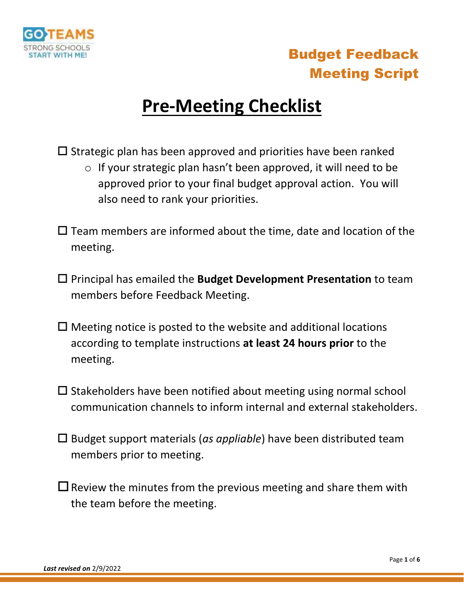

# **Pre-Meeting Checklist**

 $\square$  Strategic plan has been approved and priorities have been ranked

- o If your strategic plan hasn't been approved, it will need to be approved prior to your final budget approval action. You will also need to rank your priorities.
- $\square$  Team members are informed about the time, date and location of the meeting.
- Principal has emailed the **Budget Development Presentation** to team members before Feedback Meeting.
- $\Box$  Meeting notice is posted to the website and additional locations according to template instructions **at least 24 hours prior** to the meeting.
- $\square$  Stakeholders have been notified about meeting using normal school communication channels to inform internal and external stakeholders.
- Budget support materials (*as appliable*) have been distributed team members prior to meeting.
- $\square$  Review the minutes from the previous meeting and share them with the team before the meeting.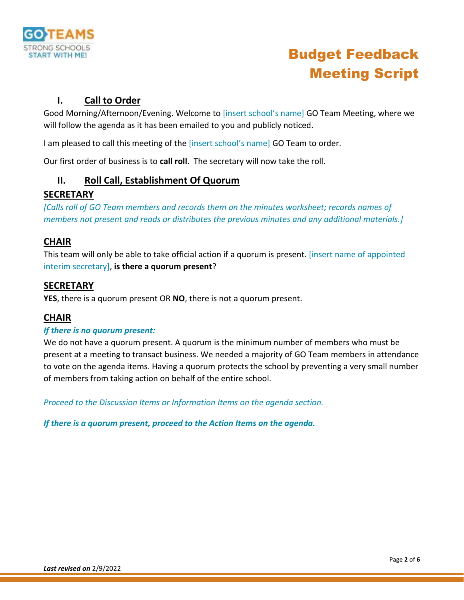

### **I. Call to Order**

Good Morning/Afternoon/Evening. Welcome to [insert school's name] GO Team Meeting, where we will follow the agenda as it has been emailed to you and publicly noticed.

I am pleased to call this meeting of the [insert school's name] GO Team to order.

Our first order of business is to **call roll**. The secretary will now take the roll.

#### **II. Roll Call, Establishment Of Quorum**

#### **SECRETARY**

*[Calls roll of GO Team members and records them on the minutes worksheet; records names of members not present and reads or distributes the previous minutes and any additional materials.]* 

#### **CHAIR**

This team will only be able to take official action if a quorum is present. [insert name of appointed interim secretary], **is there a quorum present**?

#### **SECRETARY**

**YES**, there is a quorum present OR **NO**, there is not a quorum present.

#### **CHAIR**

#### *If there is no quorum present:*

We do not have a quorum present. A quorum is the minimum number of members who must be present at a meeting to transact business. We needed a majority of GO Team members in attendance to vote on the agenda items. Having a quorum protects the school by preventing a very small number of members from taking action on behalf of the entire school.

*Proceed to the Discussion Items or Information Items on the agenda section.* 

*If there is a quorum present, proceed to the Action Items on the agenda.*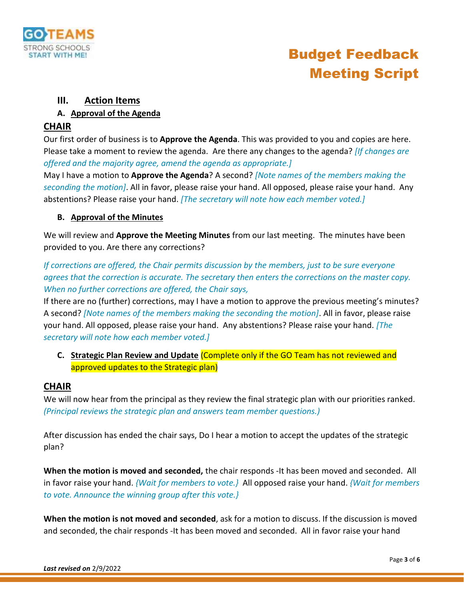

### **III. Action Items**

#### **A. Approval of the Agenda**

#### **CHAIR**

Our first order of business is to **Approve the Agenda**. This was provided to you and copies are here. Please take a moment to review the agenda. Are there any changes to the agenda? *[If changes are offered and the majority agree, amend the agenda as appropriate.]*

May I have a motion to **Approve the Agenda**? A second? *[Note names of the members making the seconding the motion]*. All in favor, please raise your hand. All opposed, please raise your hand. Any abstentions? Please raise your hand. *[The secretary will note how each member voted.]*

#### **B. Approval of the Minutes**

We will review and **Approve the Meeting Minutes** from our last meeting. The minutes have been provided to you. Are there any corrections?

*If corrections are offered, the Chair permits discussion by the members, just to be sure everyone agrees that the correction is accurate. The secretary then enters the corrections on the master copy. When no further corrections are offered, the Chair says,* 

If there are no (further) corrections, may I have a motion to approve the previous meeting's minutes? A second? *[Note names of the members making the seconding the motion]*. All in favor, please raise your hand. All opposed, please raise your hand. Any abstentions? Please raise your hand. *[The secretary will note how each member voted.]*

**C. Strategic Plan Review and Update** (Complete only if the GO Team has not reviewed and approved updates to the Strategic plan)

#### **CHAIR**

We will now hear from the principal as they review the final strategic plan with our priorities ranked. *(Principal reviews the strategic plan and answers team member questions.)*

After discussion has ended the chair says, Do I hear a motion to accept the updates of the strategic plan?

**When the motion is moved and seconded,** the chair responds -It has been moved and seconded. All in favor raise your hand. *{Wait for members to vote.}* All opposed raise your hand. *{Wait for members to vote. Announce the winning group after this vote.}*

**When the motion is not moved and seconded**, ask for a motion to discuss. If the discussion is moved and seconded, the chair responds -It has been moved and seconded. All in favor raise your hand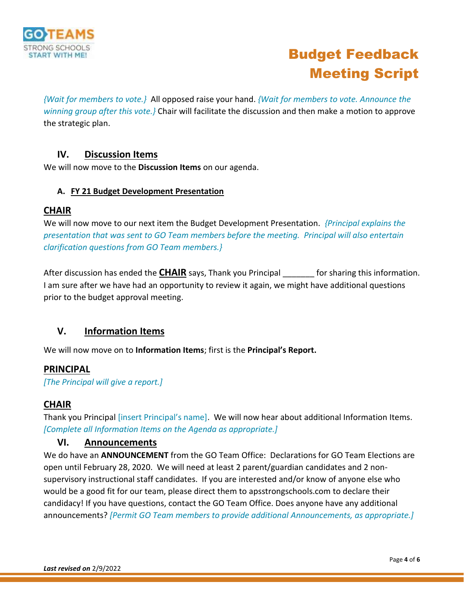

*{Wait for members to vote.}* All opposed raise your hand. *{Wait for members to vote. Announce the winning group after this vote.}* Chair will facilitate the discussion and then make a motion to approve the strategic plan.

#### **IV. Discussion Items**

We will now move to the **Discussion Items** on our agenda.

#### **A. FY 21 Budget Development Presentation**

#### **CHAIR**

We will now move to our next item the Budget Development Presentation. *{Principal explains the presentation that was sent to GO Team members before the meeting. Principal will also entertain clarification questions from GO Team members.}*

After discussion has ended the **CHAIR** says, Thank you Principal for sharing this information. I am sure after we have had an opportunity to review it again, we might have additional questions prior to the budget approval meeting.

### **V. Information Items**

We will now move on to **Information Items**; first is the **Principal's Report.**

#### **PRINCIPAL**

*[The Principal will give a report.]*

#### **CHAIR**

Thank you Principal [insert Principal's name]. We will now hear about additional Information Items. *[Complete all Information Items on the Agenda as appropriate.]*

#### **VI. Announcements**

We do have an **ANNOUNCEMENT** from the GO Team Office: Declarations for GO Team Elections are open until February 28, 2020. We will need at least 2 parent/guardian candidates and 2 nonsupervisory instructional staff candidates. If you are interested and/or know of anyone else who would be a good fit for our team, please direct them to apsstrongschools.com to declare their candidacy! If you have questions, contact the GO Team Office. Does anyone have any additional announcements? *[Permit GO Team members to provide additional Announcements, as appropriate.]*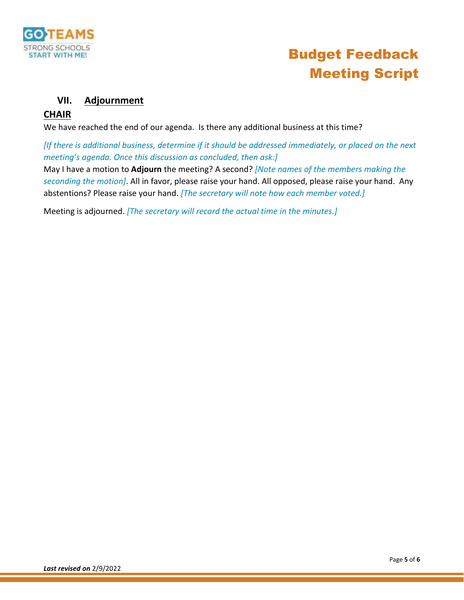

#### **VII. Adjournment**

#### **CHAIR**

We have reached the end of our agenda. Is there any additional business at this time?

*[If there is additional business, determine if it should be addressed immediately, or placed on the next meeting's agenda. Once this discussion as concluded, then ask:]*

May I have a motion to **Adjourn** the meeting? A second? *[Note names of the members making the seconding the motion]*. All in favor, please raise your hand. All opposed, please raise your hand. Any abstentions? Please raise your hand. *[The secretary will note how each member voted.]*

Meeting is adjourned. *[The secretary will record the actual time in the minutes.]*